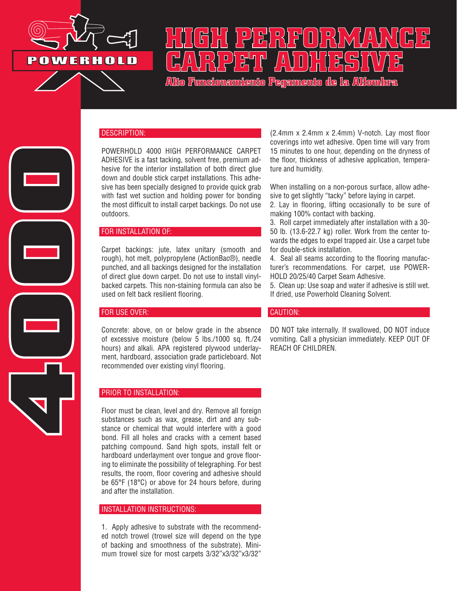

# **HIGH PERFORMANCE CARPET ADHESIVE**

**Alto Funcionamiento Pegamento de la Alfombra**

### DESCRIPTION:

POWERHOLD 4000 HIGH PERFORMANCE CARPET ADHESIVE is a fast tacking, solvent free, premium adhesive for the interior installation of both direct glue down and double stick carpet installations. This adhesive has been specially designed to provide quick grab with fast wet suction and holding power for bonding the most difficult to install carpet backings. Do not use outdoors.

### FOR INSTALLATION OF:

Carpet backings: jute, latex unitary (smooth and rough), hot melt, polypropylene (ActionBac®), needle punched, and all backings designed for the installation of direct glue down carpet. Do not use to install vinylbacked carpets. This non-staining formula can also be used on felt back resilient flooring.

### FOR USE OVER:

**4000**

Concrete: above, on or below grade in the absence of excessive moisture (below 5 lbs./1000 sq. ft./24 hours) and alkali. APA registered plywood underlayment, hardboard, association grade particleboard. Not recommended over existing vinyl flooring.

### PRIOR TO INSTALLATION:

Floor must be clean, level and dry. Remove all foreign substances such as wax, grease, dirt and any substance or chemical that would interfere with a good bond. Fill all holes and cracks with a cement based patching compound. Sand high spots, install felt or hardboard underlayment over tongue and grove flooring to eliminate the possibility of telegraphing. For best results, the room, floor covering and adhesive should be 65°F (18°C) or above for 24 hours before, during and after the installation.

### INSTALLATION INSTRUCTIONS:

1. Apply adhesive to substrate with the recommended notch trowel (trowel size will depend on the type of backing and smoothness of the substrate). Minimum trowel size for most carpets 3/32"x3/32"x3/32"

(2.4mm x 2.4mm x 2.4mm) V-notch. Lay most floor coverings into wet adhesive. Open time will vary from 15 minutes to one hour, depending on the dryness of the floor, thickness of adhesive application, temperature and humidity.

When installing on a non-porous surface, allow adhesive to get slightly "tacky" before laying in carpet.

2. Lay in flooring, lifting occasionally to be sure of making 100% contact with backing.

3. Roll carpet immediately after installation with a 30- 50 lb. (13.6-22.7 kg) roller. Work from the center towards the edges to expel trapped air. Use a carpet tube for double-stick installation.

4. Seal all seams according to the flooring manufacturer's recommendations. For carpet, use POWER-HOLD 20/25/40 Carpet Seam Adhesive.

5. Clean up: Use soap and water if adhesive is still wet. If dried, use Powerhold Cleaning Solvent.

### CAUTION:

DO NOT take internally. If swallowed, DO NOT induce vomiting. Call a physician immediately. KEEP OUT OF REACH OF CHILDREN.